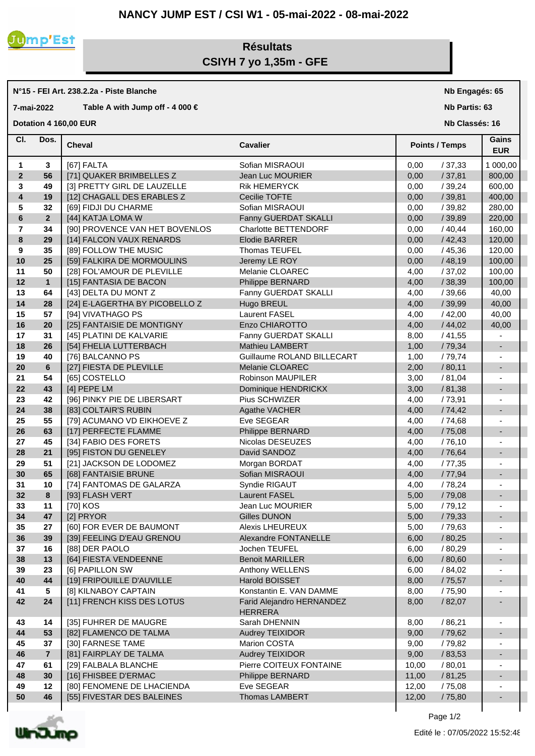## **NANCY JUMP EST / CSI W1 - 05-mai-2022 - 08-mai-2022**



## **Résultats CSIYH 7 yo 1,35m - GFE**

**N°15 - FEI Art. 238.2.2a - Piste Blanche**

**7-mai-2022 Table A with Jump off - 4 000 €**

**Dotation 4 160,00 EUR** 

**Nb Engagés: 65**

**Nb Partis: 63**

**Nb Classés: 16** 

| CI.                     | Dos.           | <b>Cheval</b>                  | <b>Cavalier</b>                             |       | <b>Points / Temps</b> |                          |
|-------------------------|----------------|--------------------------------|---------------------------------------------|-------|-----------------------|--------------------------|
| 1                       | 3              | [67] FALTA                     | Sofian MISRAOUI                             | 0,00  | /37,33                | 1 000,00                 |
| $\overline{2}$          | 56             | [71] QUAKER BRIMBELLES Z       | Jean Luc MOURIER                            | 0,00  | /37,81                | 800,00                   |
| 3                       | 49             | [3] PRETTY GIRL DE LAUZELLE    | <b>Rik HEMERYCK</b>                         | 0,00  | /39,24                | 600,00                   |
| $\overline{\mathbf{4}}$ | 19             | [12] CHAGALL DES ERABLES Z     | Cecilie TOFTE                               | 0,00  | /39,81                | 400,00                   |
| 5                       | 32             | [69] FIDJI DU CHARME           | Sofian MISRAOUI                             | 0,00  | /39,82                | 280,00                   |
| $\bf 6$                 | $\overline{2}$ | [44] KATJA LOMA W              | Fanny GUERDAT SKALLI                        | 0,00  | /39,89                | 220,00                   |
| $\overline{7}$          | 34             | [90] PROVENCE VAN HET BOVENLOS | Charlotte BETTENDORF                        | 0,00  | /40,44                | 160,00                   |
| 8                       | 29             | [14] FALCON VAUX RENARDS       | Elodie BARRER                               | 0,00  | /42,43                | 120,00                   |
| 9                       | 35             | [89] FOLLOW THE MUSIC          | Thomas TEUFEL                               | 0,00  | /45,36                | 120,00                   |
| 10                      | 25             | [59] FALKIRA DE MORMOULINS     | Jeremy LE ROY                               | 0,00  | /48,19                | 100,00                   |
| 11                      | 50             | [28] FOL'AMOUR DE PLEVILLE     | Melanie CLOAREC                             | 4,00  | /37,02                | 100,00                   |
| 12                      | $\mathbf{1}$   | [15] FANTASIA DE BACON         | Philippe BERNARD                            | 4,00  | /38,39                | 100,00                   |
| 13                      | 64             | [43] DELTA DU MONT Z           | Fanny GUERDAT SKALLI                        | 4,00  | /39,66                | 40,00                    |
| 14                      | 28             | [24] E-LAGERTHA BY PICOBELLO Z | Hugo BREUL                                  | 4,00  | /39,99                | 40,00                    |
| 15                      | 57             | [94] VIVATHAGO PS              | <b>Laurent FASEL</b>                        | 4,00  | /42,00                | 40,00                    |
| 16                      | 20             | [25] FANTAISIE DE MONTIGNY     | Enzo CHIAROTTO                              | 4,00  | /44,02                | 40,00                    |
| 17                      | 31             | [45] PLATINI DE KALVARIE       | Fanny GUERDAT SKALLI                        | 8,00  | /41,55                |                          |
| 18                      | 26             | [54] FHELIA LUTTERBACH         | Mathieu LAMBERT                             | 1,00  | / 79,34               | $\blacksquare$           |
| 19                      | 40             | [76] BALCANNO PS               | Guillaume ROLAND BILLECART                  | 1,00  | / 79,74               |                          |
| 20                      | 6              | [27] FIESTA DE PLEVILLE        | Melanie CLOAREC                             | 2,00  | /80,11                | $\blacksquare$           |
| 21                      | 54             | [65] COSTELLO                  | <b>Robinson MAUPILER</b>                    | 3,00  | / 81,04               |                          |
| 22                      | 43             | [4] PEPE LM                    | Dominique HENDRICKX                         | 3,00  | /81,38                | $\blacksquare$           |
| 23                      | 42             | [96] PINKY PIE DE LIBERSART    | Pius SCHWIZER                               | 4,00  | /73,91                |                          |
| 24                      | 38             | [83] COLTAIR'S RUBIN           | Agathe VACHER                               | 4,00  | /74,42                | $\blacksquare$           |
| 25                      | 55             | [79] ACUMANO VD EIKHOEVE Z     | Eve SEGEAR                                  | 4,00  | / 74,68               |                          |
| 26                      | 63             | [17] PERFECTE FLAMME           | Philippe BERNARD                            | 4,00  | /75,08                | $\blacksquare$           |
| 27                      | 45             | [34] FABIO DES FORETS          | Nicolas DESEUZES                            | 4,00  | /76,10                |                          |
| 28                      | 21             | [95] FISTON DU GENELEY         | David SANDOZ                                | 4,00  | /76,64                | $\overline{\phantom{a}}$ |
| 29                      | 51             | [21] JACKSON DE LODOMEZ        | Morgan BORDAT                               | 4,00  | /77,35                |                          |
| 30                      | 65             | [68] FANTAISIE BRUNE           | Sofian MISRAOUI                             | 4,00  | / 77,94               | $\blacksquare$           |
| 31                      | 10             | [74] FANTOMAS DE GALARZA       | Syndie RIGAUT                               | 4,00  | /78,24                |                          |
| 32                      | 8              | [93] FLASH VERT                | <b>Laurent FASEL</b>                        | 5,00  | /79,08                | $\blacksquare$           |
| 33                      | 11             | [70] KOS                       | Jean Luc MOURIER                            | 5,00  | /79,12                | $\sim$                   |
| 34                      | 47             | [2] PRYOR                      | <b>Gilles DUNON</b>                         | 5,00  | /79,33                | ٠                        |
| 35                      | 27             | [60] FOR EVER DE BAUMONT       | <b>Alexis LHEUREUX</b>                      | 5,00  | /79,63                | $\blacksquare$           |
| 36                      | 39             | [39] FEELING D'EAU GRENOU      | Alexandre FONTANELLE                        | 6,00  | / 80,25               |                          |
| 37                      | 16             | [88] DER PAOLO                 | Jochen TEUFEL                               | 6,00  | / 80,29               |                          |
| 38                      | 13             | [64] FIESTA VENDEENNE          | <b>Benoit MARILLER</b>                      | 6,00  | / 80,60               | ٠                        |
| 39                      | 23             | [6] PAPILLON SW                | Anthony WELLENS                             | 6,00  | / 84,02               | ٠                        |
| 40                      | 44             | [19] FRIPOUILLE D'AUVILLE      | Harold BOISSET                              | 8,00  | /75,57                | ٠                        |
| 41                      | 5              | [8] KILNABOY CAPTAIN           | Konstantin E. VAN DAMME                     | 8,00  | / 75,90               |                          |
| 42                      | 24             | [11] FRENCH KISS DES LOTUS     | Farid Alejandro HERNANDEZ<br><b>HERRERA</b> | 8,00  | / 82,07               |                          |
| 43                      | 14             | [35] FUHRER DE MAUGRE          | Sarah DHENNIN                               | 8,00  | /86,21                |                          |
| 44                      | 53             | [82] FLAMENCO DE TALMA         | Audrey TEIXIDOR                             | 9,00  | / 79,62               |                          |
| 45                      | 37             | [30] FARNESE TAME              | Marion COSTA                                | 9,00  | / 79,82               |                          |
| 46                      | $\overline{7}$ | [81] FAIRPLAY DE TALMA         | Audrey TEIXIDOR                             | 9,00  | / 83,53               |                          |
| 47                      | 61             | [29] FALBALA BLANCHE           | Pierre COITEUX FONTAINE                     | 10,00 | /80,01                |                          |
| 48                      | 30             | [16] FHISBEE D'ERMAC           | Philippe BERNARD                            | 11,00 | / 81,25               |                          |
| 49                      | 12             | [80] FENOMENE DE LHACIENDA     | Eve SEGEAR                                  | 12,00 | /75,08                |                          |
| 50                      | 46             | [55] FIVESTAR DES BALEINES     | <b>Thomas LAMBERT</b>                       | 12,00 | / 75,80               |                          |
|                         |                |                                |                                             |       |                       |                          |



Page 1/2